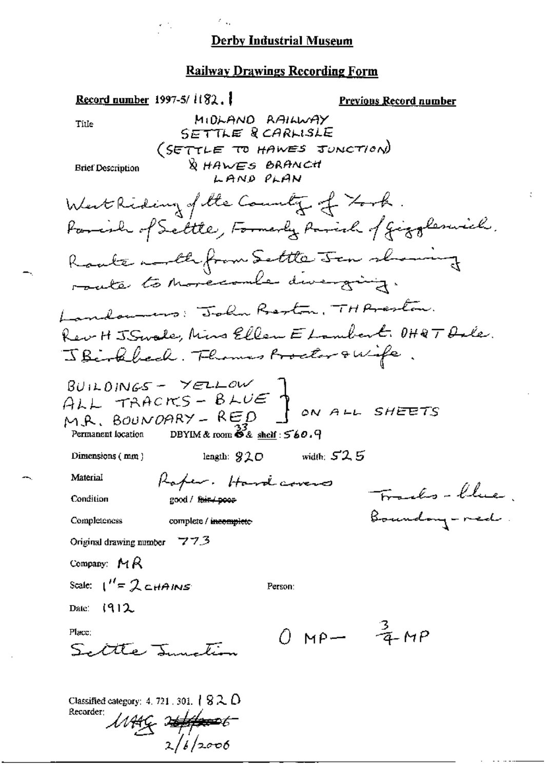#### **Railway Drawings Recording Form**

Record number 1997-5/ $i$ ( $32,$ ) **Previous Record number** MIDLAND RAILWAY Title SETTLE RCARLISLE (SETTLE TO HAWES JUNCTION) **& HAWES BRANCH Brief Description** LAND PLAN West Riding of the County of Took Parish of Settle, Formerly Parish of Giggleswich. Ranke month from Settle Jan showing route to movecoule diverging. Landonnes: John Beston, TH Areston. Rev H J Swale, Mins Ellen E Lambert. OHRT Dale. JBirkbeck. Flowers Proclar & Wife  $BU1LO1NGS - YELLOW$ ALL TRACKS - BLUE ON ALL SHEETS M.R. BOUNDARY - RED DBYIM & room  $68$  shelf:  $560.9$ Permanent location length:  $920$  width:  $525$ Dimensions  $(m, n)$ Material Raper. Hardcovers Franks-blue Condition good / fair / poor Boundary-red. Completeness complete / incomplete Original drawing number  $77.3$ Company:  $MA$ Scale:  $1'' = 2c$ *HAINS* Person: Date: (912  $0 \text{ MP} - \frac{3}{4} \text{ MP}$ Place:  $SLAT$   $I$ Classified category: 4, 721, 301,  $\{ 8 \lambda \omega \}$ Recorder: WAG 2<del>4/p=0</del>6

 $216/2006$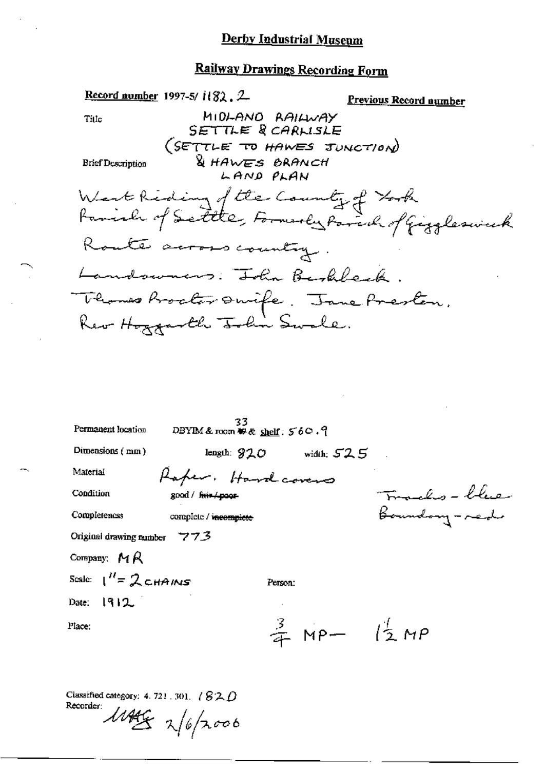#### **Railway Drawings Recording Form**

Record number 1997-5/ $1182.2$ Previous Record number MIDLANO RAILWAY<br>SETTLE RCARLISLE Title (SETTLE TO HAWES JUNCTION) & HAWES BRANCH **Brief Description** LAND PLAN West Riding of the County of York<br>Fariah of Settle, Formarly Parch of Giggleswick Route across country Landswars: John Berkbeck. Thomas Booker Onife. Jane Presten. Rev Hoxxarth John Swale. 33<br>DBYIM & room  $\#$  & shelf:  $560.9$ Permanent location Dimensions (mm) length:  $920$  width:  $525$ Material Raper. Hardcovers Tomala - blue Condition good / frin / poor Boundary-red Completences complete / incomplete Original drawing number 773 Company:  $M R$ Scale:  $1'' = 2$  cHAINS Person: Date:  $1912$ .  $\frac{3}{4}$  MP-  $\frac{1}{2}$  MP Place:

Classified category: 4, 721, 301,  $\angle$   $\angle$   $\angle$   $\triangle$   $\triangle$ Recorder:

 $11449$   $\frac{1}{6}$   $\frac{1}{20000}$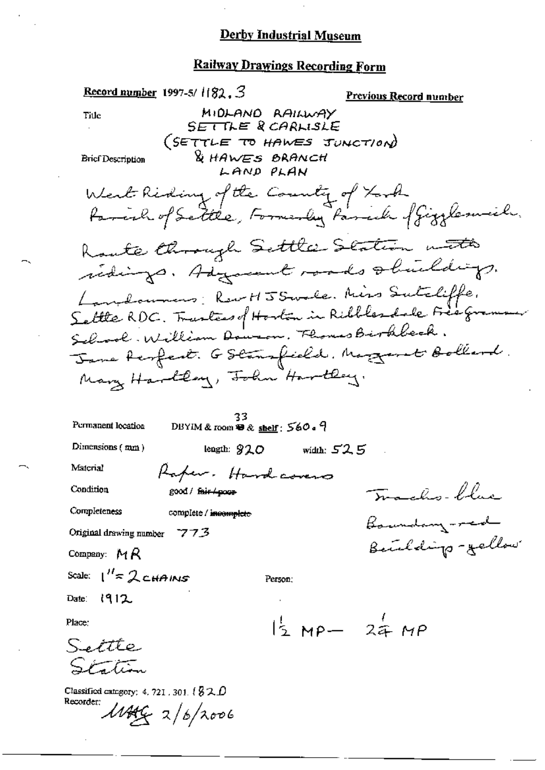Record number 1997-5/ $1182.3$ <u>Previous Record number</u> MIDLAND RAILWAY **Title** SETTLE & CARLISLE (SETTLE TO HAWES JUNCTION) & HAWES BRANCH **Brief Description** LAND PLAN West Riding of the County of York family of Settle, Formerly Parcel of Gigglemich. Route through Settle Station with redings. Adjacent made obuildings. Lambournes: Rew HJ Strale. Miss Sutcliffe. Settle RDC. Tranters of Horton in Ribbles dale Free growing Seland. William Dowson. Flores Birkbeck. Jane Respect. GStansfield. Mogaret Bollerd. Mary Haroldery, John Haroldey. 33 DBYIM & room  $\mathbf{R}$  & shelf:  $560 \cdot 9$ Permanent location Dimensions  $(mn)$ length:  $920$ width:  $52.5$ Material Raper. Hardcovers Trachs-blue Condition good / fair / poor Completeness complete / incomplete Baundary-red Original drawing number 7773 Beichdigs-gellow Company: MR Scale:  $1'' \approx 2$  CHAINS Person: Date:  $1912$  $1/2$  MP-  $24$  MP Place: Settle Station Classified category: 4, 721, 301,  $\ell$  3 2,  $D$ Recorder:  $M_{44}$   $2/6/2006$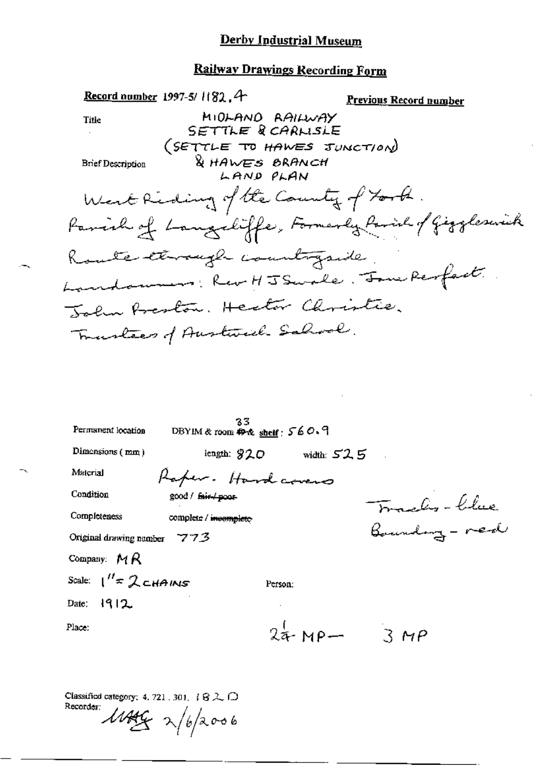#### **Railway Drawings Recording Form**

Record number 1997-5/1182.4 **Previous Record number** MIDLAND RAILWAY **Title** SETTLE & CARLISLE (SETTLE TO HAWES JUNCTION) & HAWES BRANCH **Brief Description** LAND PLAN West Riding of the County of York. Parish of Languliffe, Formerly Parish of Giggleswick Route terragh countryside. Landonners: Rev HJ Smale. Jone Respect John Beston, Heator Christie, Trustees of Austrial Salval.

| Permanent location            | 35.<br>DBYIM & room $\oplus$ & shelf: 560.9 |         |                             |                             |  |
|-------------------------------|---------------------------------------------|---------|-----------------------------|-----------------------------|--|
| Dimensions $(mm)$             |                                             |         | $length: 820$ width: $52.5$ |                             |  |
| Material                      | Raper. Hardcovers                           |         |                             |                             |  |
| Condition                     | good / fair poor                            |         |                             |                             |  |
| Completeness                  | complete / incomplete                       |         |                             | Franks-blue<br>Boundary-red |  |
| Original drawing number $773$ |                                             |         |                             |                             |  |
| Company: $MR$                 |                                             |         |                             |                             |  |
| Scale: $1'' \approx 2$ CHAINS |                                             | Person: |                             |                             |  |
| Date: $1912$                  |                                             |         |                             |                             |  |
| Place:                        |                                             |         |                             | $24$ -MP- $3 MP$            |  |
|                               |                                             |         |                             |                             |  |

Classified category: 4, 721, 301,  $\{Q \gtrsim \bigcap$ Recorder:

 $\frac{\mu}{\mu}$  x/b/2006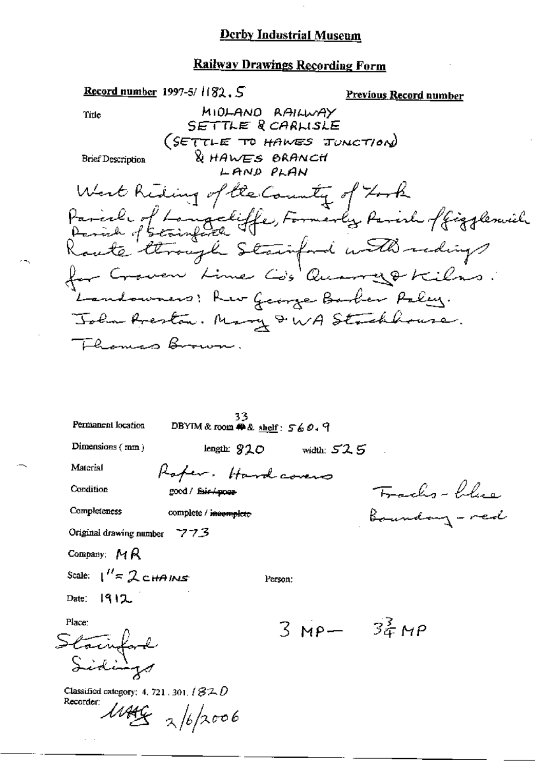Record number 1997-5/ $1182.5$ Previous Record number MIDLAND RAILWAY Title SETTLE & CARLISLE (SETTLE TO HAWES JUNCTION) & HAWES BRANCH **Brief Description** LAND PLAN West Reding of the County of Took Parial of Langeliffe, Formerly Parish offizjemich<br>Parial of Strough Stainford with redig for Crower Line Co's Quarry & Kilns. Landowners! Rev George Barber Paley. John Preston. Mary & WA Stackhouse. Thomas Brown. 33 Permanent location DBYTM & room  $#$  & shelf:  $560.9$ Dimensions (mm) length:  $920$  width:  $525$ Material Rafer. Hardcovers Frachs-blue Condition good / fair /-poor-Completeness Boundary - red complete / incomplete Original drawing number 773 Company: MR Scale:  $1'' = 2c$ HAINS Person: Date: 1912.  $3MP - 32MP$ Place: Stainfard Classified category: 4, 721, 301,  $/$   $/$   $/$   $/$ Recorder:  $\frac{\mu}{3}$  x/6/2006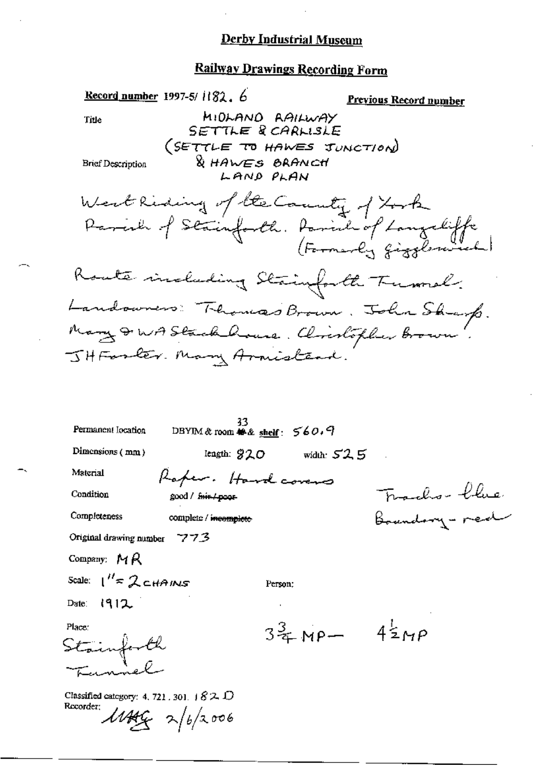|                                                         | Record number 1997-5/ $1182.6$                 |                                      | <u>Previous Record number</u>                                                   |
|---------------------------------------------------------|------------------------------------------------|--------------------------------------|---------------------------------------------------------------------------------|
| Title                                                   |                                                | MIDLAND RAILWAY<br>SETTLE & CARLISLE |                                                                                 |
|                                                         |                                                | (SETTLE TO HAWES JUNCTION)           |                                                                                 |
| <b>Brief Description</b>                                |                                                | & HAWES BRANCH<br>LAND PLAN          |                                                                                 |
|                                                         |                                                | West Riding of the County of York    |                                                                                 |
|                                                         |                                                |                                      | Parcia of Stainforth. Parish of Langueliffe                                     |
|                                                         |                                                | Koute including Stainforth Tumel.    |                                                                                 |
|                                                         |                                                |                                      |                                                                                 |
|                                                         |                                                |                                      | Landowners Thomas Brown. John Sharp.<br>Many DWA Stack house. Climbopher Brown. |
|                                                         | JHForter. Many Armisteni.                      |                                      |                                                                                 |
|                                                         |                                                |                                      |                                                                                 |
|                                                         |                                                |                                      |                                                                                 |
| Permanent Iocation                                      | 33<br>DBYIM & room <sup>輸出</sup> shelf: 560, 9 |                                      |                                                                                 |
| Dimensions (mm)                                         |                                                | length: $920$ width: $525$           |                                                                                 |
| Material                                                | Raper. Hardcovers                              |                                      |                                                                                 |
| Condition                                               | good / f <del>air/poor</del>                   |                                      | ordro- blue:                                                                    |
| Completeness                                            | complete / incomplete                          |                                      | undony - red                                                                    |
| Original drawing number $773$                           |                                                |                                      |                                                                                 |
| Company: $M/R$                                          |                                                |                                      |                                                                                 |
| Scale: $1'' \approx 2$ cHAINS                           |                                                | Person:                              |                                                                                 |
| Date: $1912$                                            |                                                |                                      |                                                                                 |
| Place:<br>Stainforth                                    |                                                | $3\frac{3}{4}$ MP- $4\frac{1}{2}$ MP |                                                                                 |
| Classified category: 4, 721, 301, $\pm 82$<br>Recorder; | $\text{MAG}$ 2/6/2006                          |                                      |                                                                                 |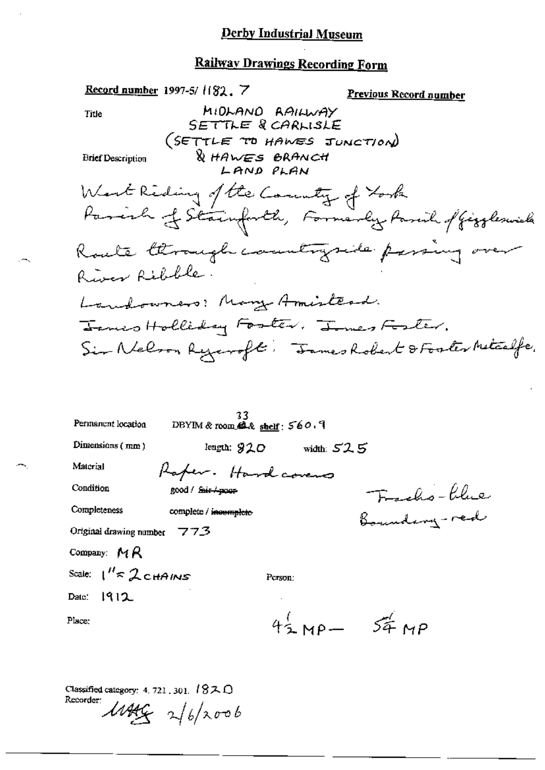# Railway Drawings Recording Form

|                                | Record number 1997-5/1182 . 7                                                         | <u>Previous Record number</u>                        |
|--------------------------------|---------------------------------------------------------------------------------------|------------------------------------------------------|
| Title                          | MIDLAND RAILWAY<br>SETTLE & CARLISLE                                                  |                                                      |
|                                | (SETTLE TO HAWES JUNCTION)                                                            |                                                      |
| <b>Brief Description</b>       | <b>WHAWES BRANCH</b>                                                                  |                                                      |
|                                | LAND PLAN                                                                             |                                                      |
|                                | West Reding of the Country of York                                                    |                                                      |
|                                |                                                                                       | Paresh of Stainforth, Formerly Parcil of Gizzleswick |
|                                |                                                                                       | Route through countryside passing over               |
| River Ribble.                  |                                                                                       |                                                      |
|                                | Landowners: Many Amisterd.                                                            |                                                      |
|                                | Janes Holliday Foster. James Foster.                                                  |                                                      |
|                                |                                                                                       | Sir Nelson Ryaroft: Fames Robert & Foster Metalfe.   |
|                                |                                                                                       |                                                      |
|                                |                                                                                       |                                                      |
|                                |                                                                                       |                                                      |
| Permanent location             | 33.<br>$DBYIM$ & room $\mathbf{A}$ & $\mathbf{shelf}$ : $\mathbf{560}$ . $\mathbf{1}$ |                                                      |
| Dimensions (mm)                | length: $920$ width: $525$                                                            |                                                      |
| Material                       | Raper. Hardcovers                                                                     |                                                      |
| Condition                      | good / <del>fair / pour</del>                                                         |                                                      |
| Completeness                   | complete / incomplete                                                                 | Fracho-blue<br>Boundary-red                          |
| Original drawing number        | 773                                                                                   |                                                      |
| Company: $MR$                  |                                                                                       |                                                      |
| Scale: $1'' \approx 2$ c HAINS | Person:                                                                               |                                                      |
| 1912<br>Date:                  |                                                                                       |                                                      |
| Place:                         | $44$ MP $-$                                                                           | $54^{\circ}$ MP                                      |

Classified category: 4, 721, 301, 18ス〇 Recorder:  $1446$  2/6/2006

 $\sim$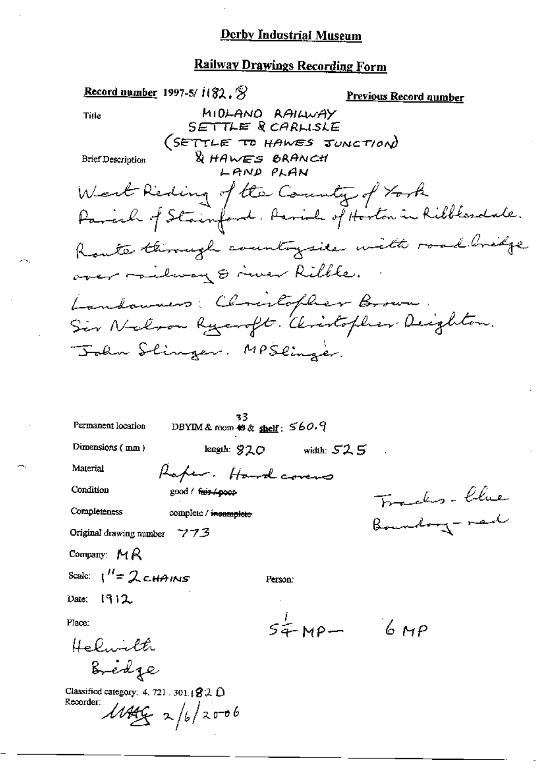#### **Railway Drawings Recording Form**

Record number 1997-5/ $i(32.5)$ Previous Record number MIDLAND RAILWAY Title SETTLE RCARLISLE (SETTLE TO HAWES JUNCTION) & HAWES BRANCH **Brief Description** LAND PLAN West Reding of the Country of York Parcial of Stainford. Parish of Horton in Ribblesdale. Route through countrysice with road bridge over milway & river Ribble. Landowners: Christopher Brown Sir Nelson Ryangto. Christopher Deighton. John Slinger. MPSlinger. 33 DBYIM & room  $\otimes \otimes$  shelf:  $560.9$ Permanent location Dimensions (mm) length:  $920$  width:  $525$ Material Raper. Hardcovers Franks- Chie Condition good / fuir / poor Completeness complete / incomplete Boundary-red Original drawing number 7773 Company:  $M R$ Scale:  $1^H = 2$  CHAINS Person: Date: 1912  $54$ MP-  $6MP$ Place: Helwith Bredge

Classified category: 4, 721, 301. $(32 \Omega)$ Recorder:  $1449922/6/2006$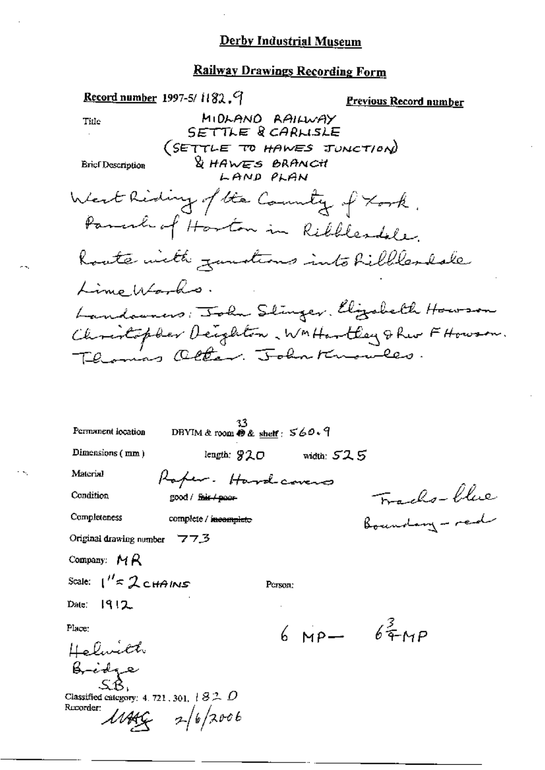# Railway Drawings Recording Form

| Record number 1997-5/1182, 9                                  | <u> Previous Record number</u>                 |
|---------------------------------------------------------------|------------------------------------------------|
| MIDLANO RAILWAY<br>Tiile                                      |                                                |
| SETTLE RCARLISLE                                              |                                                |
|                                                               | (SETTLE TO HAWES JUNCTION)                     |
| <b>DE HAWES BRANCH</b><br><b>Ericf Description</b>            |                                                |
| LAND PLAN                                                     |                                                |
| West Riding of the Country of Kork.                           |                                                |
| Parach of Harton in Ribblesdole.                              |                                                |
| houte with zandions into hillles dale                         |                                                |
| LimeWorks.                                                    |                                                |
|                                                               | Landowners: John Slinger, Elizabeth Howson     |
|                                                               | Christopher Deighton, WMHartley & Rue FHowson. |
| Thomas Olter. John Knowles.                                   |                                                |
|                                                               |                                                |
|                                                               |                                                |
|                                                               |                                                |
| Permanent location<br>DBYIM & room $\otimes$ & shelf: $560.9$ |                                                |
| Dimensions (mm)                                               | length: $920$ width: $525$                     |
| Material<br>Raper. Hardcovers                                 |                                                |
| Condition<br>good / f <del>air / poor</del>                   | Frachs-blue<br>Boundary-red                    |
| Completeness<br>complete / incomplete                         |                                                |
| Original drawing number $77.3$                                |                                                |
| Company: $MR$                                                 |                                                |
| Scale: $1'' \approx 2$ CHAINS<br>Person:                      |                                                |
| Date: 1912.                                                   |                                                |
| Place:                                                        | $6 \text{ MP} - 6\frac{3}{4} \text{ MP}$       |
|                                                               |                                                |
| Helwith<br>Bridge<br>SB                                       |                                                |
| Classified category: 4, 721, 301, $\pm$ $82$ , $D$            |                                                |

Classified category: 4.721, 301,  $10 -$ <br>Recorder:<br> $\frac{1}{2}$  /  $\frac{6}{2006}$ 

 $\ddotsc$ 

 $\mathbf{v}_\mathrm{c}$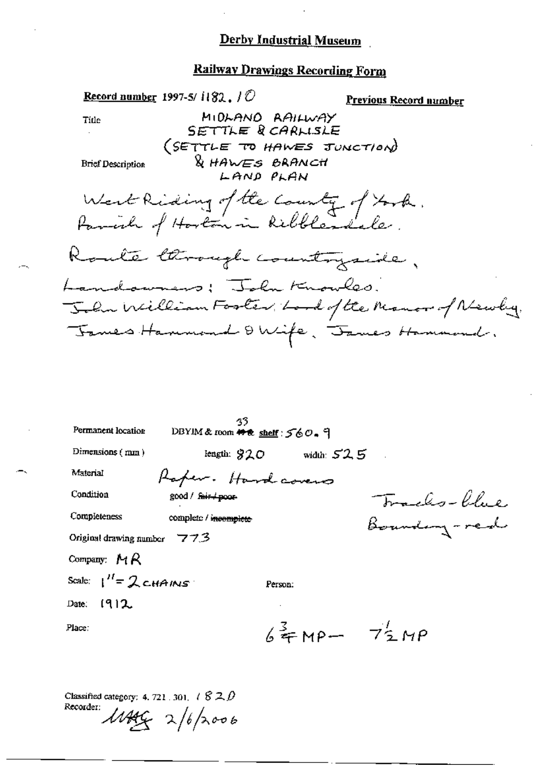#### **Railway Drawings Recording Form**

Record number 1997-5/ $\langle 182, 10 \rangle$ **Previous Record number** MIDLAND AAILWAY Title SETTLE & CARLISLE (SETTLE TO HAWES JUNCTION) & HAWES BRANCH **Brief Description** LAND PLAN West Riding of the County of York.<br>Parrich of Horton in Ribblesdale. Roule through countryside, Landowners; John Knowles. John William Footer, Lord of the Monor of Newly. James Hammond & Wife, James Hammond.

| Permanent location          | 33<br>DBYIM& room # & shelf: 560. 9 |                  |              |
|-----------------------------|-------------------------------------|------------------|--------------|
| Dimensions (mm)             | length: $920$                       | width: $52.5$    |              |
| Material                    | Raper. Hardcovers                   |                  |              |
| Condition                   | good / fair / poor                  |                  | Franks-Khie. |
| Completeness                | complete / incomplete               |                  | Boundary-red |
| Original drawing number 773 |                                     |                  |              |
| Company: $M R$              |                                     |                  |              |
| Scale: $1''=2$ CHAINS       |                                     | Person:          |              |
| Date: $[9]2$                |                                     |                  |              |
| Place:                      |                                     | $64$ MP- $72$ MP |              |
|                             |                                     |                  |              |

Classified category: 4, 721, 301,  $\ell \mathcal{B} \mathcal{Z} \mathcal{D}$ Recorder:

 $\mu_{44}$  2/6/2006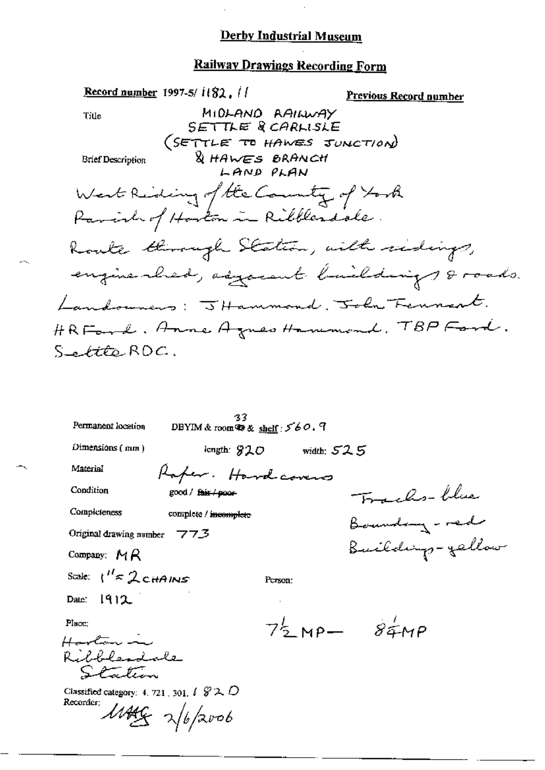### Railway Drawings Recording Form

Record number 1997-5/ $i(82, 1)$ Previous Record number MIDLAND RAILWAY Title SETTLE RCARLISLE (SETTLE TO HAWES JUNCTION) & HAWES BRANCH **Brief Description** LAND PLAN West Riding of the Country of York Parish of Hoston in Ribblesdole. Route through Station, with ridings, engine shed, asycient building of roads. Landonners: JHammond, John Fennant. HRFord, Anne Agnes Hammond, TBP Ford. Settle ROC.

| Permanent location                                                                    | 33<br>DBYIM & room $\otimes$ & shelf: $560.9$ |                                     |              |                  |
|---------------------------------------------------------------------------------------|-----------------------------------------------|-------------------------------------|--------------|------------------|
| $D$ imensions ( $m$ m)                                                                | length: 920                                   |                                     | width: $525$ |                  |
| Material                                                                              | Raper. Hardcovers                             |                                     |              |                  |
| Condition                                                                             | $good /$ fair $/$ poor-                       |                                     |              | Frachs-blue      |
| Compicteness                                                                          | complete / incomplete                         |                                     |              | Boundary - red   |
| Original drawing number $773$                                                         |                                               |                                     |              |                  |
| Company: $MR$                                                                         |                                               |                                     |              | Buildings-gellow |
| Scale: $1'' \approx 2$ CHAINS                                                         |                                               | Person:                             |              |                  |
| Date: 1912                                                                            |                                               |                                     |              |                  |
| Place:<br>Harton in                                                                   |                                               | $7\frac{1}{2}$ MP- $8\frac{1}{4}MP$ |              |                  |
| Ribblesdale<br>Station                                                                |                                               |                                     |              |                  |
| Classified category: 4, 721, 301, $\ell \mathscr{D} \lambda \mathscr{D}$<br>Recorder; | $1449 - 262006$                               |                                     |              |                  |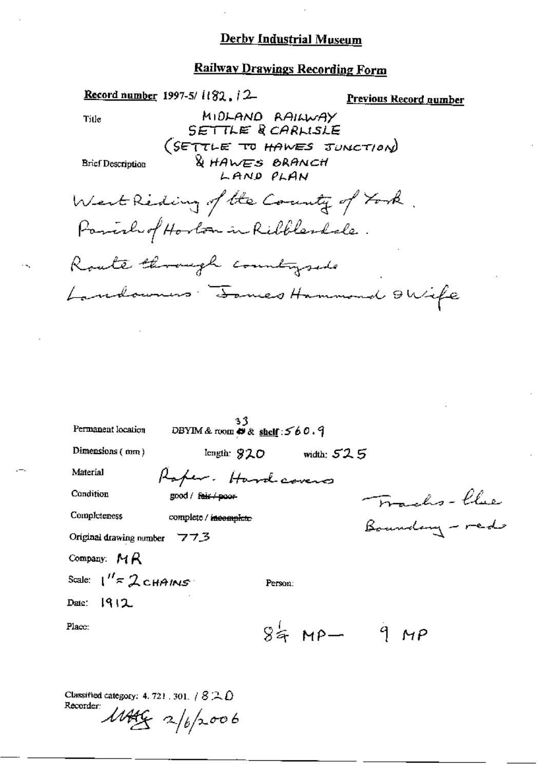# Railway Drawings Recording Form

|                                            | <b>Record number</b> 1997-5/1182, $/2$                |           |                            | <u>Previous Record number</u> |  |
|--------------------------------------------|-------------------------------------------------------|-----------|----------------------------|-------------------------------|--|
| Title                                      | MIDLAND RAILWAY<br>SETTLE ROARLISLE                   |           |                            |                               |  |
| Brief Description                          | (SETTLE TO HAWES JUNCTION)<br>& HAWES BRANCH          | LAND PLAN |                            |                               |  |
| West Reding of the Country of York.        | Parish of Horton in Ribblesdale.                      |           |                            |                               |  |
| Route through countrysed                   |                                                       |           |                            |                               |  |
| Landowners : James Hammond OWife           |                                                       |           |                            |                               |  |
| Permanent location                         | 33<br>DBYIM & room $\Leftrightarrow$ & shelf: $560.9$ |           |                            |                               |  |
| Dimensions $(mn)$                          |                                                       |           | length: $920$ width: $525$ |                               |  |
| Material                                   | Roper . Hardcovers                                    |           |                            |                               |  |
| Condition                                  | good / <del>fair / poor</del>                         |           |                            | Francho-Clue                  |  |
| Completeness                               | complete / incomplete                                 |           |                            | Boundary - red                |  |
| Original drawing number $773$              |                                                       |           |                            |                               |  |
| Company: $MR$                              |                                                       |           |                            |                               |  |
| Scale: $1''$ $\approx$ 2 CHAINS $^{\circ}$ |                                                       | Person:   |                            |                               |  |
| Daic: 1912                                 |                                                       |           |                            |                               |  |
| Place:                                     |                                                       |           | $84$ MP $-$ 9 MP           |                               |  |

Classified category: 4, 721, 301,  $/$  8  $\mathbb{R}$  0

 $\mathbf{R}$ 

Recorder:  $1146 - 2/6/2006$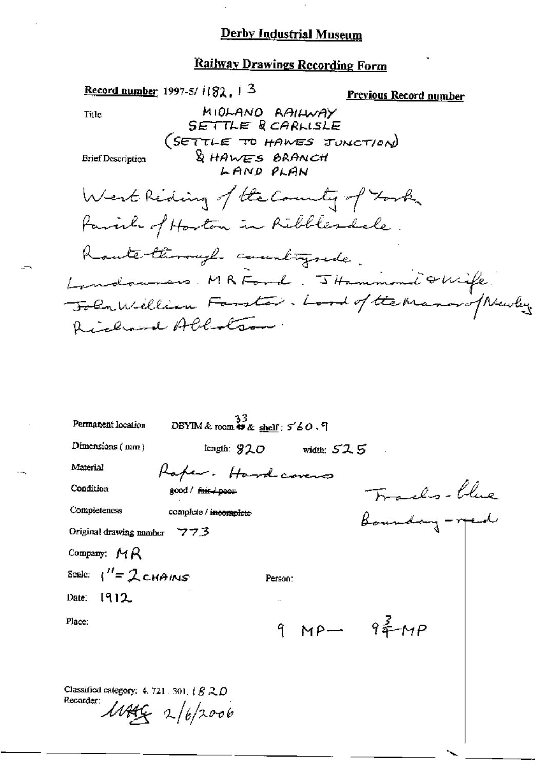#### **Railway Drawings Recording Form**

Record number 1997-5/ $1/82$ ,  $1/3$ Previous Record number MIDLAND RAILWAY Title SETTLE RCARLISLE (SETTLE TO HAWES JUNCTION) & HAWES BRANCH **Brief Description** LAND PLAN West Reding of the Country of Took Parish of Harton in Ribblesdale. Raute through countrysede. Londonnes. MRFond. JHammond QWife. Folumbillian Forster. Lord of the Manarof Newlys Richard Abbatson.

| Permanent location                                                      | DBYIM & room $\overset{33}{\leftrightarrow}$ & shelf: 560.9 |         |                            |                           |  |
|-------------------------------------------------------------------------|-------------------------------------------------------------|---------|----------------------------|---------------------------|--|
| Dimensions $(nm)$                                                       |                                                             |         | length: $920$ width: $525$ |                           |  |
| Material                                                                | Raper. Hardcovers                                           |         |                            |                           |  |
| Condition                                                               | $good /$ fair $\neq$ poor                                   |         |                            | Tracles-blue              |  |
| Completeness                                                            | complete / incomplete                                       |         |                            | boundary - year           |  |
| Original drawing number $773$                                           |                                                             |         |                            |                           |  |
| Company: $MA$                                                           |                                                             |         |                            |                           |  |
| Scale: $1'' = 2c4AMS$                                                   |                                                             | Person: |                            |                           |  |
| Date: 1912                                                              |                                                             |         |                            |                           |  |
| Place:                                                                  |                                                             |         |                            | 9 MP- 9 $\frac{3}{4}$ -MP |  |
| Classified category: 4, 721, 301, $\#B \, \mathbb{Q} \, D$<br>Recorder: | 1144622/6/2006                                              |         |                            |                           |  |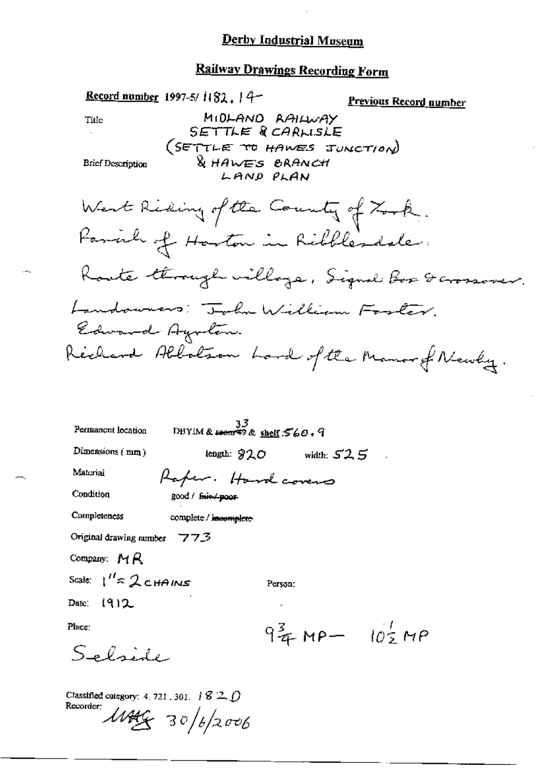| <b>Record number</b> 1997-5/1182. $14-$                                                             | Previous Record number                                    |
|-----------------------------------------------------------------------------------------------------|-----------------------------------------------------------|
| Ti⊔e                                                                                                | MIDLAND RAILWAY                                           |
|                                                                                                     | SETTLE RCARLISLE<br>(SETTLE TO HAWES JUNCTION)            |
| Brief Description                                                                                   | <b>&amp; HAWES BRANCH</b>                                 |
|                                                                                                     | LAND PLAN                                                 |
|                                                                                                     | West Reding of the County of Took.                        |
| Favorh of Harton in Ribblesdale.                                                                    |                                                           |
|                                                                                                     | Koute through willage, Signal <i>Box &amp; crossover.</i> |
| Landourers: Toba William Foster.                                                                    |                                                           |
| Edward Ayutan.                                                                                      |                                                           |
|                                                                                                     | Rechard Albalson Lard of the Manor of Newly.              |
|                                                                                                     |                                                           |
|                                                                                                     |                                                           |
| $33$<br>DBYIM & soon \$9 & shelf: $560.9$<br>Permanent location                                     |                                                           |
| Dimensions $(mn)$                                                                                   | length: $920$ width: $525$                                |
| Material<br>Raper. Hardcovers                                                                       |                                                           |
| Condition<br>good / fuit poor                                                                       |                                                           |
| Completeness<br>complete / insemplete                                                               |                                                           |
| Original drawing number 773                                                                         |                                                           |
| Company: MR                                                                                         |                                                           |
| Scale: $1'' \approx 2$ CHAINS                                                                       | Person:                                                   |
| Date: $(912)$                                                                                       |                                                           |
| Place:                                                                                              | $9\frac{3}{4}$ MP $-$ 102 MP                              |
| Selside                                                                                             |                                                           |
| Classified category: 4, 721, 301, $\#$ 3 $\mathbb{Z}$ $\bigcirc$<br>Recorder:<br>$1444 - 30/6/2006$ |                                                           |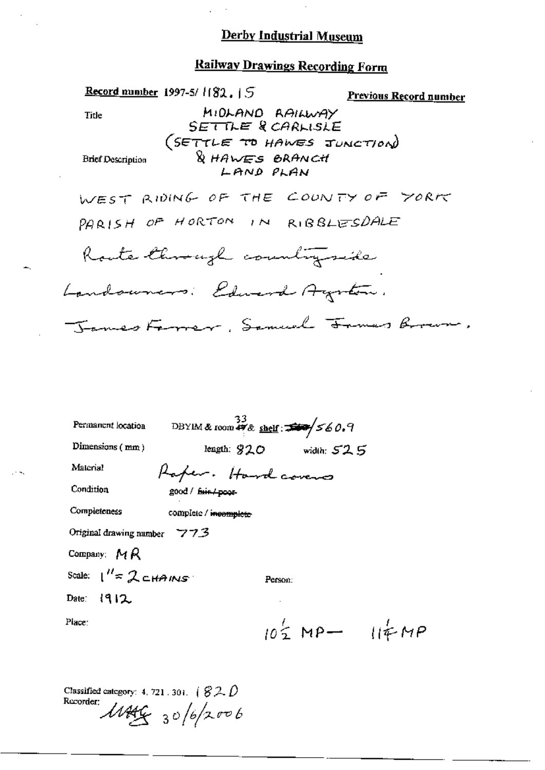#### **Railway Drawings Recording Form**

**Record number** 1997-5/1182.15 Previous Record number MIDLAND RAILWAY Title SETTLE & CARLISLE (SETTLE TO HAWES JUNCTION) & HAWES BRANCH **Brief Description** LAND PLAN WEST RIDING OF THE COUNTY OF YORK PARISH OF HORTON IN RIBBLESDALE Route through countryside Landowners: Edward Agenton. Tames Forrer, Samuel Frances Brown, DBYIM & room  $\frac{33}{47}$ & shelf:  $\frac{33}{47}$   $560.9$ Permanent location Dimensions (mm) length:  $820$  width:  $525$ Material Rafer. Hardcovers Condition good / fair/poor-Completeness complete / incomplete Original drawing number 773 Company:  $M R$ Scale:  $1'' = 2c$ HAINS Person: Date:  $|912$ Place:  $10\frac{1}{2}MP - 11ENP$ 

Classified category: 4, 721, 301,  $(82.0)$ Recorder:  $11449/30/6/2006$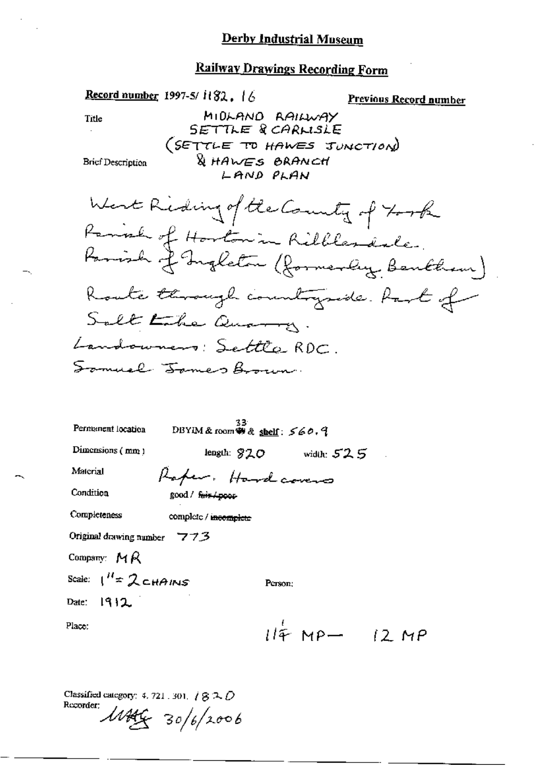# **Railway Drawings Recording Form**

| Record number 1997-5/ $1182$ , $16$                                            | <u>Previous Record number</u>                                              |
|--------------------------------------------------------------------------------|----------------------------------------------------------------------------|
| MIDLAND RAILWAY<br>Title                                                       |                                                                            |
| SETTLE & CARLISLE                                                              |                                                                            |
|                                                                                | (SETTLE TO HAWES JUNCTION)                                                 |
| & HAWES BRANCH<br>Brief Description<br>LAND PLAN                               |                                                                            |
|                                                                                |                                                                            |
| West Riding of the County of 700k                                              |                                                                            |
|                                                                                |                                                                            |
|                                                                                | Parish of Horton in Ribbles dale.<br>Parish of Ingleton (formerly Bentham) |
|                                                                                | Route through countryside. Part of                                         |
| Salt Lake Quarry.                                                              |                                                                            |
| Landowners: Settle RDC.                                                        |                                                                            |
| Somuel James Brown.                                                            |                                                                            |
|                                                                                |                                                                            |
|                                                                                |                                                                            |
| 33.<br>Permanent location<br>DBYIM & room $\ddot{\mathbf{w}}$ & shelf: $560.9$ |                                                                            |
| Dimensions (mm)                                                                | length: $820$ width: $525$                                                 |
| Material<br>Raper. Hardcovers                                                  |                                                                            |
| Condition<br>good / fair / poor                                                |                                                                            |
| Completeness<br>complete / incomplete                                          |                                                                            |
| Original drawing number 773                                                    |                                                                            |
| Company: $MR$                                                                  |                                                                            |
| Scale: $1^H \approx 2$ CHAINS                                                  | Person;                                                                    |
| Date: $1912$                                                                   |                                                                            |
| Place:                                                                         | $114$ MP- $12$ MP                                                          |
|                                                                                |                                                                            |

Classified category: 4, 721, 301,  $\angle$  (3  $\triangle$   $\hat{D}$ Recorder:

 $11446$  30/6/2006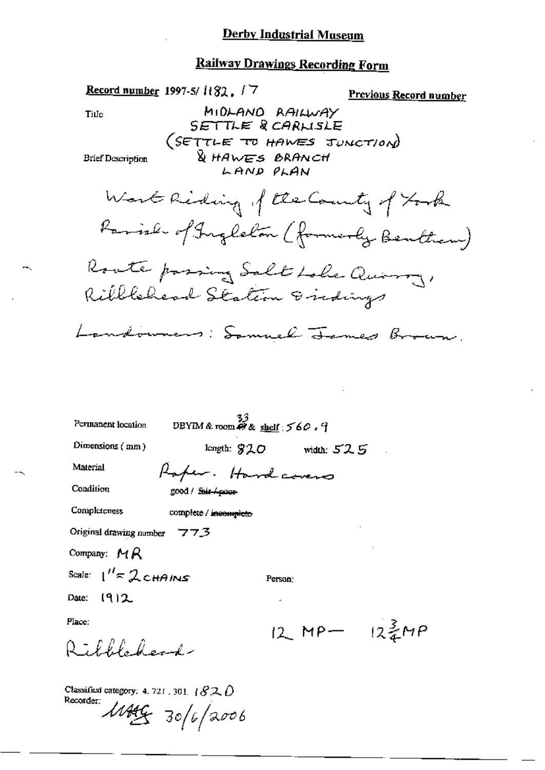#### Railway Drawings Recording Form

Record number 1997-5/1182, / 7 **Previous Record number** MIDLAND RAILWAY Title SETTLE RCARLISLE (SETTLE TO HAWES JUNCTION) & HAWES BRANCH **Brief Description** LAND PLAN Work Riding of the County of Took Parish of Ingleton (formerly Bentham) Roote passing Salt Loke Quinny, Ribblehead Station Endings Landowners: Samuel James Brown. DBYIM & room  $\mathcal{B}$  & shelf : 560. I Permanent location Dimensions  $(mn)$ length:  $$20$  width:  $52.5$ Material Rafer. Hardcovers Condition good / fair Apogs Completeness complete / incomplete Original drawing number  $773$ Company:  $MR$ Scale:  $1'' \approx 2$  CHAINS Person: Date:  $1912$ Place:  $12$  MP  $12\frac{3}{4}MP$ Richblecher Classified category: 4, 721, 301,  $\{820\}$ Recorder:

 $1449 - 30/6/2006$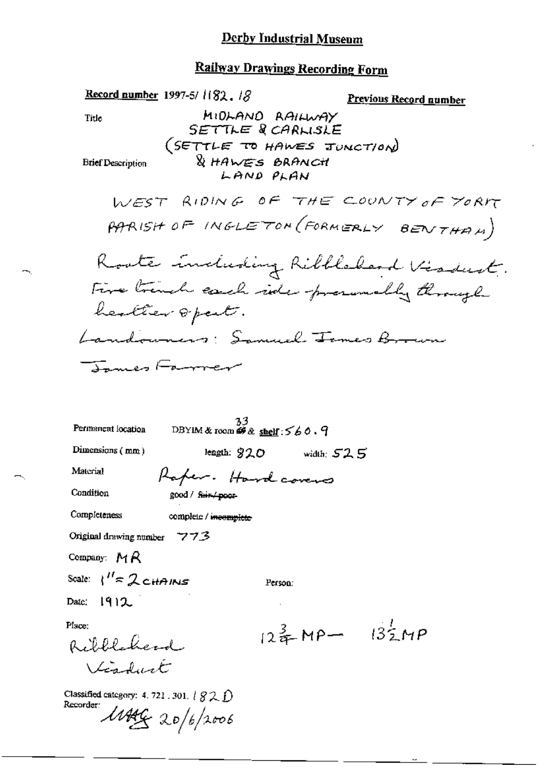Record number 1997-5/ $1182.18$ Previous Record number MIDLAND RAILWAY Title SETTLE & CARLISLE (SETTLE TO HAWES JUNCTION) & HAWES BRANCH **Brief Description** LAND PLAN WEST RIDING OF THE COUNTY OF YORK PARISH OF INGLETON (FORMERLY BENTHAM) Roote induding Ribblebard Visdust. Five trinch each ide procunably through healter 8 part. Landowners: Samuel James Brown James Farrer  $\frac{33}{2}$ <br>DBYIM & room  $\#$  & shelf : 560.9 Permanent location Dimensions (mm) length:  $920$  width:  $525$ Material Raper. Hardcovers Condition good / fair-/ poor-Completeness complete / incomplete Original drawing number  $773$ Company:  $MA$ Scale:  $\binom{n}{k}$  CHAINS Person: 1912 Date: Place:  $12\frac{3}{2}MP - 13\frac{7}{2}MP$ Ribblecherd Viaduct Classified category: 4, 721, 301,  $\{S2, f\}$ Recorder:  $1449 = 20/6/2006$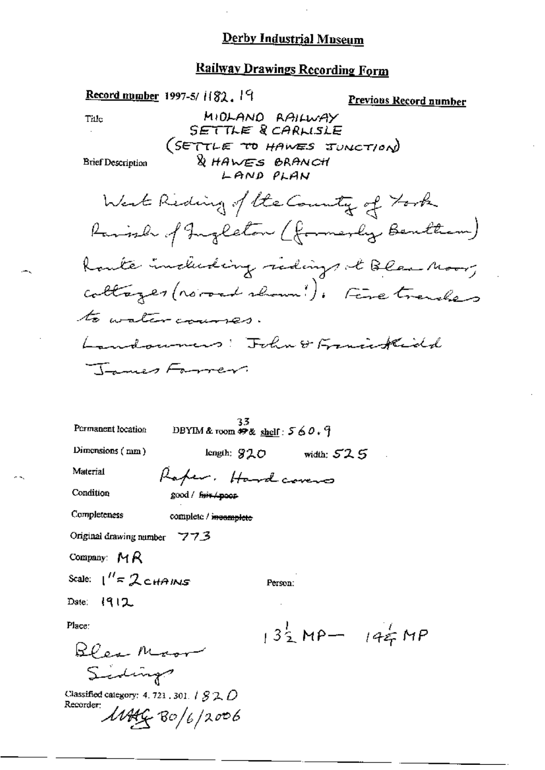$\ddot{\phantom{a}}$ 

# Railway Drawings Recording Form

| Record mumber 1997-5/ $1182.19$                                                                  | Previous Record number              |
|--------------------------------------------------------------------------------------------------|-------------------------------------|
| MIDLAND RAILWAY<br>Tiile<br>SETTLE & CARLISLE                                                    |                                     |
| (SETTLE TO HAWES IUNCTION)<br><b>&amp; HAWES BRANCH</b><br><b>Brief Description</b><br>LAND PLAN |                                     |
| West Reding of the County of York                                                                |                                     |
| Ravish of Ingleton (formerly Benthem)                                                            |                                     |
| Route including redings it Blea Moor,                                                            |                                     |
| collages (normal shown!). Fire trenders                                                          |                                     |
| to water courses.                                                                                |                                     |
| Landounes: Fohn & Franciskidd                                                                    |                                     |
| James Farrer.                                                                                    |                                     |
|                                                                                                  |                                     |
| 33.<br>Permanent location<br>DBYIM & room $\mathcal{P}$ & shelf: $560.9$                         |                                     |
| Dimensions (mm)<br>length: $920$<br>width: $52.5$                                                |                                     |
| Material<br>Raper. Hardcovers                                                                    |                                     |
| Condition<br>good / fuit / poor                                                                  |                                     |
| Completeness<br>complete / incomplete                                                            |                                     |
| Original drawing number $773$                                                                    |                                     |
| Company: $MR$                                                                                    |                                     |
| Scale: $1'' = 2$ chains<br>Person:                                                               |                                     |
| Date: $ 912$                                                                                     |                                     |
| Place:                                                                                           | $13\frac{1}{2}MP - 14\frac{1}{5}MP$ |
|                                                                                                  |                                     |
| Bles Moore                                                                                       |                                     |
| Classified category: 4, 721, 301, $/$ $/$ $/$ $/$ $/$ $/$<br>Recorder:                           |                                     |
| $\mu$ MG Bo/6/2006                                                                               |                                     |
|                                                                                                  |                                     |

÷.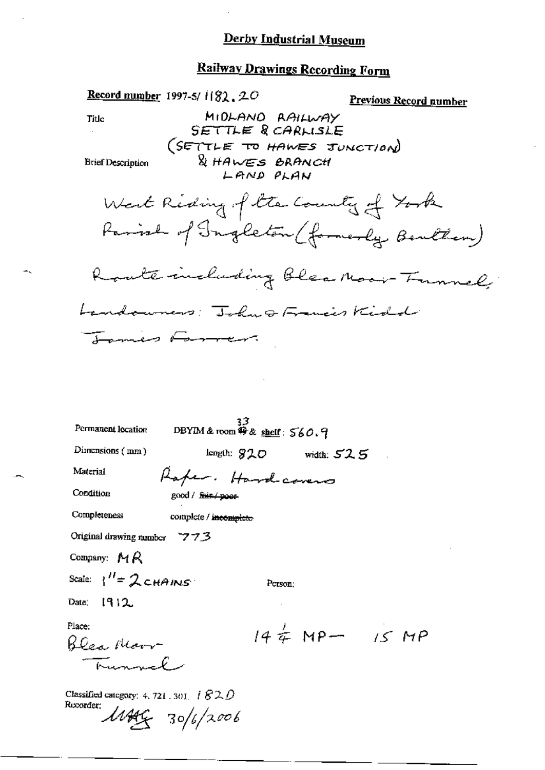# **Railway Drawings Recording Form**

| <b>Record number</b> 1997-5/1182, 20                                                            |                                                                      | Previous Record number                |
|-------------------------------------------------------------------------------------------------|----------------------------------------------------------------------|---------------------------------------|
| Title                                                                                           | MIDLANO RAILWAY<br>SETTLE & CARLISLE                                 |                                       |
| <b>Brief Description</b>                                                                        | (SETTLE TO HAWES JUNCTION)<br><b>&amp; HAWES BRANCH</b><br>LAND PLAN |                                       |
|                                                                                                 | West Riding of the Country of York                                   | Parish of Ingleton (formerly Benthem) |
|                                                                                                 |                                                                      | Raute including Blea Macin Funnel,    |
| Landowners: John & Francis Kidd                                                                 |                                                                      |                                       |
| James Farmer.                                                                                   |                                                                      |                                       |
|                                                                                                 |                                                                      |                                       |
| Permanent location                                                                              | DBYIM & room 49 & shelf: 560.9                                       |                                       |
| Dimensions $($ mm $)$                                                                           | $length: 820$ width: $525$                                           |                                       |
| Material                                                                                        | Raper. Hardcovers                                                    |                                       |
| Condition                                                                                       | good / fair / poor                                                   |                                       |
| Completeness                                                                                    | complete / incomplete                                                |                                       |
| Original drawing number $77.3$                                                                  |                                                                      |                                       |
| Company: MR                                                                                     |                                                                      |                                       |
| Scale: $1'' = 2$ chains                                                                         | Person;                                                              |                                       |
| 1912<br>Date,                                                                                   |                                                                      |                                       |
| Place:<br>Blea Moor<br>Kunnel                                                                   |                                                                      | $144 \pm 15$ MP $- 15$ MP             |
| Classified category: 4, 721, 301, $\hat{i}$ $\mathcal{S2D}$<br>Recorder:<br>$11449 - 30/6/2006$ |                                                                      |                                       |

 $\ddotmark$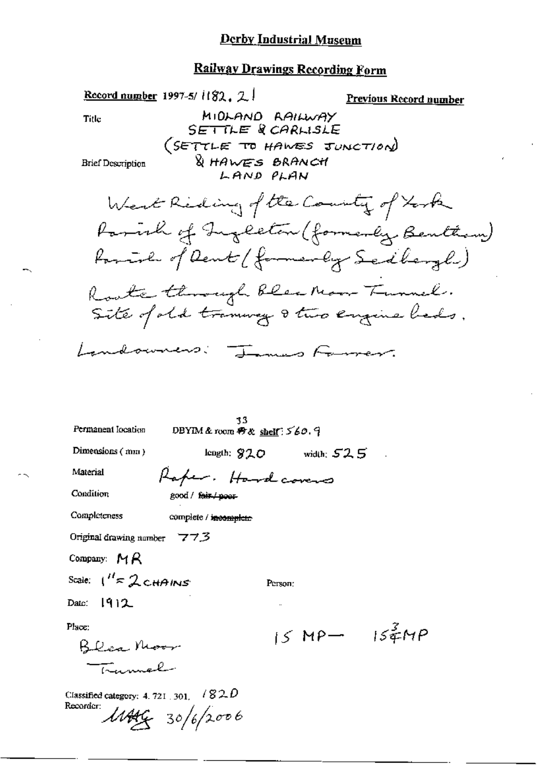|                                                               | Record number 1997-5/1182, 2.1                                             | <u>Previous Record number</u> |
|---------------------------------------------------------------|----------------------------------------------------------------------------|-------------------------------|
| Title                                                         | MIDLAND RAILWAY<br>SETTLE & CARLISLE                                       |                               |
| <b>Brief Description</b>                                      | (SETTLE TO HAWES JUNCTION)<br>& HAWES BRANCH<br>LAND PLAN                  |                               |
|                                                               | West Reding of the County of York                                          |                               |
|                                                               | Parish of Ingleton (formerly, Benttin)                                     |                               |
|                                                               | forming of Dent (formerly Sedbergh)                                        |                               |
|                                                               | Roote through bles Moor Tunnel.<br>Site of old transvag 8 two engine bads. |                               |
| Landowners                                                    | James Former.                                                              |                               |
| Permanent location                                            | 33.<br>DBYIM & room $\oplus \otimes$ shelf: $560.9$                        |                               |
| Dimensions $(mn)$                                             | width: $52.5$<br>length: 820                                               |                               |
| Material                                                      | Rafer. Hardcovers                                                          |                               |
| Condition                                                     | good / fair / poor-                                                        |                               |
| Completeness                                                  | complete / incomplete                                                      |                               |
| Original drawing number $773$                                 |                                                                            |                               |
| Company: $MA$                                                 |                                                                            |                               |
| Scale: $1'' \approx 2$ CHAINS                                 | Person:                                                                    |                               |
| Date: $[9]2$                                                  |                                                                            |                               |
| Place:                                                        |                                                                            | $15MP - 154MP$                |
| Blea Moor<br>Tramol                                           |                                                                            |                               |
|                                                               |                                                                            |                               |
| Classified category: 4, 721 , 301, $\pm$ / $82D$<br>Recorder: | $11446 - 30/6/2006$                                                        |                               |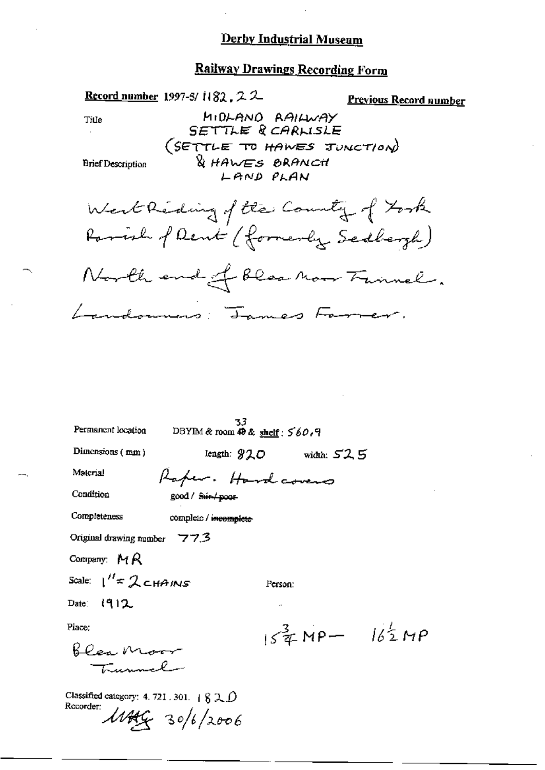# Railway Drawings Recording Form

| <u>Record number</u> 1997-5/1182, 2 2<br>MIDLANO RAILWAY<br>Tille<br>SETTLE & CARLISLE<br>(SETTLE TO HAWES JUNCTION)<br><b>&amp; HAWES BRANCH</b><br><b>Brief Description</b><br>LAND PLAN<br>West Reding of the County of York<br>Parrish of Dent (formerly Sedbergh)<br>North end of blood now Fannel. | <u>Previous Record number</u> |
|----------------------------------------------------------------------------------------------------------------------------------------------------------------------------------------------------------------------------------------------------------------------------------------------------------|-------------------------------|
| Landonners: James Farmer.<br>33.<br>Permanent location<br>DBYIM & room $\oplus \& \underline{\text{ shelf}}$ : $560.9$<br>Dimensions (mm)<br>Iength: 920 width: 525<br>Material<br>Raper. Hardcovers<br>Condition<br>good / f <del>air / poor</del>                                                      |                               |
| Completeness<br>complete / incomplete<br>Original drawing number 773<br>Company: $MR$<br>Scale: $1''$ $\approx$ 2 $\epsilon$ $\mu$ A IN $\epsilon$<br>Person:<br>Date: $(912)$<br>$\mathbf{a}$                                                                                                           |                               |
| Place:<br>blea Moor<br>Trunnel<br>Classified category: 4. 721. 301. $+820$<br>Recorder:<br>$11449 - 30/6/2006$                                                                                                                                                                                           | $154$ MP- $162$ MP            |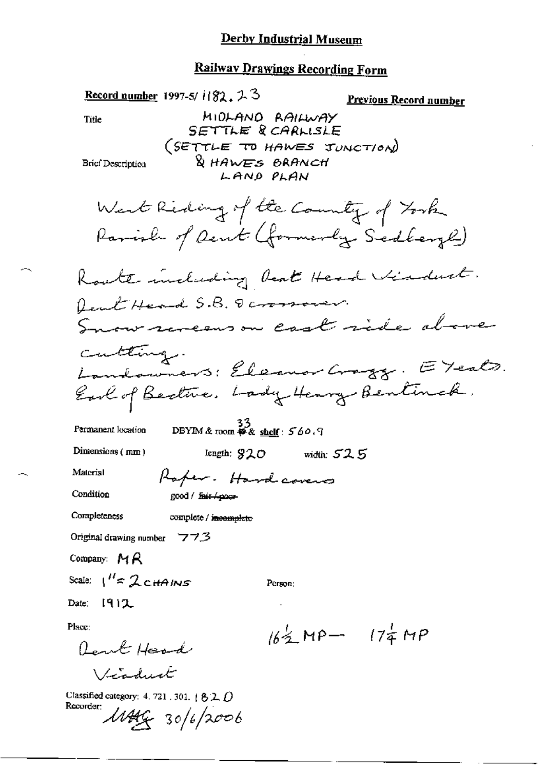| Record number 1997-5/ $1/82$ , $25$                                                                 | Previous Record number                                                       |
|-----------------------------------------------------------------------------------------------------|------------------------------------------------------------------------------|
| Title                                                                                               | MIDLAND RAILWAY                                                              |
|                                                                                                     | SETTLE & CARLISLE<br>(SETTLE TO HAWES JUNCTION)                              |
| Brief Description                                                                                   | <b>DES BRANCH</b><br>LAND PLAN                                               |
|                                                                                                     | West Reding of the Country of York<br>Parish of Dent (formerly Sedleys)      |
|                                                                                                     | Koute including beat Head Viaduct.                                           |
| feut Head S.B. Dammon                                                                               |                                                                              |
|                                                                                                     | Snow revenson cast ride above                                                |
| cutting.                                                                                            |                                                                              |
|                                                                                                     |                                                                              |
|                                                                                                     | Landowners: Eleanor Grazz. E Yeals.<br>Earl of Beatric. Lady Henry Bentinck. |
| Permanent location                                                                                  | DBYIM & room $\overset{5}{\ast}$ & shelf: 560.9                              |
| Dimensions $(mm)$                                                                                   | length: $920$ width: $525$                                                   |
| Material                                                                                            | Raper. Hardcovers                                                            |
| Condition<br>good / <i>fair / poor</i>                                                              |                                                                              |
| Completeness<br>complete / incomplete                                                               |                                                                              |
| Original drawing number 773                                                                         |                                                                              |
| Company: $MR$                                                                                       |                                                                              |
| Scale: $1'' \approx 2$ CHAINS                                                                       | Person:                                                                      |
| Date: $[9]$ )                                                                                       | $\cdot\cdot$                                                                 |
| Place:                                                                                              | $16\frac{1}{2}$ MP - $17\frac{1}{4}$ MP                                      |
| Lent Head                                                                                           |                                                                              |
| Victorial                                                                                           |                                                                              |
| Classified category: 4, 721, 301, $\uparrow$ 8.2, $\uparrow$<br>Recorder:<br>$\text{MAG}$ 30/6/2006 |                                                                              |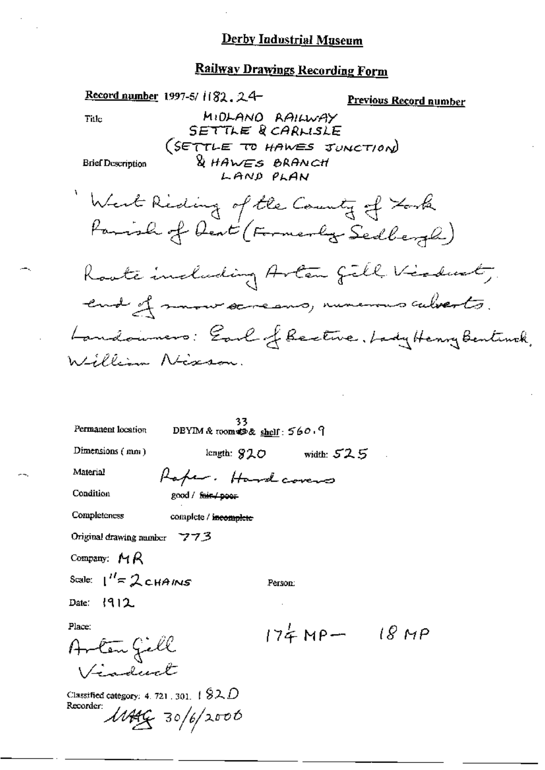|                                                               | Record number 1997-5/ $1182.24$              |                                                                         | <u>Previous Record number</u>                                                  |
|---------------------------------------------------------------|----------------------------------------------|-------------------------------------------------------------------------|--------------------------------------------------------------------------------|
| $\mathsf{Title}$                                              |                                              | MIDLANO RAILWAY<br>SETTLE RCARLISLE                                     |                                                                                |
| <b>Brief Description</b>                                      | <b>DES BRANCH</b>                            | (SETTLE TO HAWES JUNCTION)<br>LAND PLAN                                 |                                                                                |
|                                                               |                                              | West Reding of the County of Look<br>Parish of Deat (Formerly Sedbergh) |                                                                                |
|                                                               |                                              |                                                                         | Roote including Arton fill Violent,<br>end of mour screams, numerous culverts. |
|                                                               |                                              |                                                                         | Landaimers: Earl of Beetwe, Lady Henry Bentinck,                               |
| William Nixson.                                               |                                              |                                                                         |                                                                                |
| Permanent location                                            | 33.<br>DBYIM & room $\otimes$ shelf: $560.9$ |                                                                         |                                                                                |
| Dimensions $(mn)$                                             |                                              | length: $920$ width: $525$                                              |                                                                                |
| Material                                                      | Raper. Hardcovers                            |                                                                         |                                                                                |
| Condition                                                     | good / f <del>air / poor</del>               |                                                                         |                                                                                |
| Completeness                                                  | complete / incomplete                        |                                                                         |                                                                                |
| Original drawing number 7773                                  |                                              |                                                                         |                                                                                |
| Company: $MA$                                                 |                                              |                                                                         |                                                                                |
| Scale: $1'' = 2c$ HAINS                                       |                                              | Person:                                                                 |                                                                                |
| Date: $ 912$                                                  |                                              |                                                                         |                                                                                |
| Place:<br>Arten Jell<br>Vinduct                               |                                              | $174MP - 18MP$                                                          |                                                                                |
| Classified category: 4, 721, 301, $\pm$ $92$ $D$<br>Recorder: | $\frac{1}{446}$ 30/6/2006                    |                                                                         |                                                                                |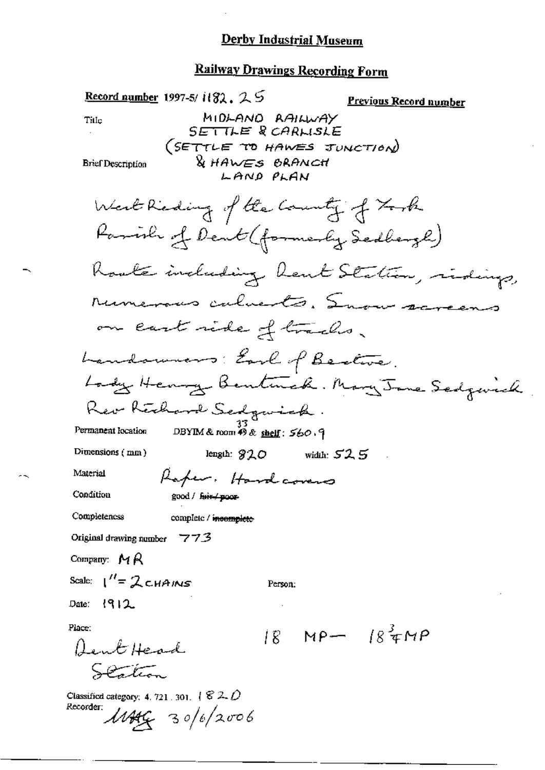|                                                             | <b>Record number</b> 1997-5/1182, 2.5           | <b>Previous Record number</b>           |
|-------------------------------------------------------------|-------------------------------------------------|-----------------------------------------|
| Title                                                       | MIDLAND RAILWAY                                 |                                         |
|                                                             | SETTLE & CARLISLE<br>(SETTLE TO HAWES JUNCTION) |                                         |
| <b>Brief Description</b>                                    | <b>&amp; HAWES BRANCH</b>                       |                                         |
|                                                             | LAND PLAN                                       |                                         |
|                                                             | West Reding of the County of Forth              |                                         |
|                                                             | Parrish of Dent (formerly Sedbergh)             |                                         |
|                                                             |                                                 | Roals including heart Station, ridings, |
|                                                             | runerous calverts. Snow screens                 |                                         |
|                                                             | on cast side of tracks.                         |                                         |
|                                                             | Landowners: Earl of Bestove.                    |                                         |
|                                                             |                                                 | Lady Henry Bentmak. Mary Jane Sedgevick |
|                                                             | Rev Rechard Sedgwick.                           |                                         |
| Permanent location                                          | DBYIM & room 49 & shelf: 560.9                  |                                         |
| Dimensions (mm)                                             | length: $920$ width: $525$                      |                                         |
| Material                                                    | Raper. Hardcovers                               |                                         |
| Condition                                                   | good / f <del>uir / poor</del>                  |                                         |
| Completeness                                                | complete / incomplete                           |                                         |
| Original drawing number $773$                               |                                                 |                                         |
| Company: $M R$                                              |                                                 |                                         |
| Scale: $1''=2$ CHAINS                                       | Person:                                         |                                         |
| Date: 1912                                                  |                                                 |                                         |
| Place:                                                      |                                                 | $18 \text{ MP} - 184 \text{ MP}$        |
| Dent Head                                                   |                                                 |                                         |
| S                                                           |                                                 |                                         |
| Classified category: 4, 721, 301, $\sqrt{820}$<br>Recorder: | $M446 - 30/6/2006$                              |                                         |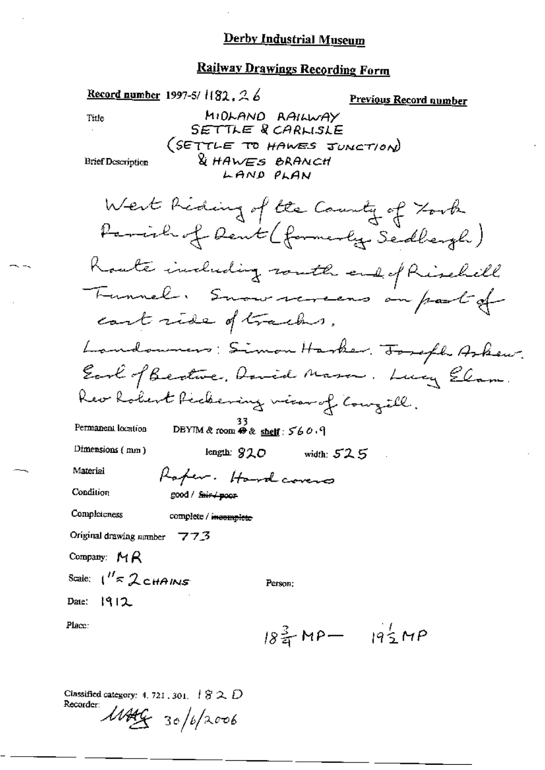# Railway Drawings Recording Form

| Record number 1997-5/1182, 26 |                                        | <u>Previous Record number</u>           |
|-------------------------------|----------------------------------------|-----------------------------------------|
| Title                         | MIDLAND RAILWAY                        |                                         |
|                               | SETTLE & CARLISLE                      |                                         |
|                               | (SETTLE TO HAWES JUNCTION)             |                                         |
| <b>Brief Description</b>      | <b>U</b> HAWES BRANCH<br>LAND PLAN     |                                         |
|                               |                                        |                                         |
|                               | West Reding of the Country of Took     |                                         |
|                               | Parish of Dent (formerly Sedbergh)     |                                         |
|                               |                                        | Koate including routh end of Rischell   |
|                               |                                        | Tunnel. Suau revens au part of          |
|                               | cost ride of tracks.                   |                                         |
|                               |                                        | Landowners: Simon Harker. Torofh Arkew. |
|                               |                                        | Earl of Bertwe, David Mason. Lucy Elam. |
|                               | Rev Robert Richeming wien of Couzill.  |                                         |
| Permanent location            | DBYIM & room $\Theta$ & shelf: $560.9$ |                                         |
| Dimensions (mm)               | length: $920$<br>width: $525$          |                                         |
| Material                      | Rafer. Hard covers                     |                                         |
| Condition                     | good / fair / poor                     |                                         |
| Completeness                  | complete / incomplete                  |                                         |
| Original drawing number 773   |                                        |                                         |
| Company: $MA$                 |                                        |                                         |
| Scale: $1'' \approx 2$ CHAINS | Person:                                |                                         |
| Date: 1912                    |                                        |                                         |
| Place:                        |                                        | $18\frac{3}{4}MP - 19\frac{1}{2}MP$     |
|                               |                                        |                                         |

Classified category: 4, 721, 301,  $\#$   $\$\mathcal{Z}\ \mathcal{D}$ Recorder: 1144 30/6/2006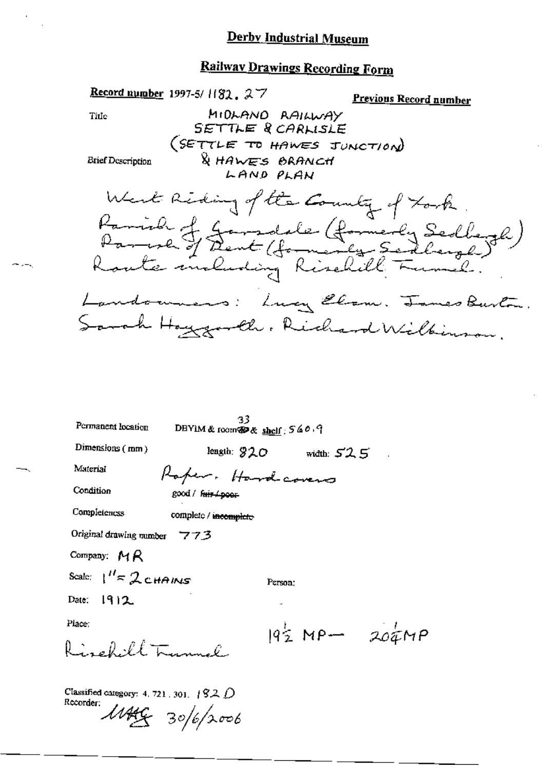### **Railway Drawings Recording Form**

Record number 1997-5/ $182.27$ Previous Record number MIDLAND RAILWAY Title SETTLE & CARLISLE (SETTLE TO HAWES JUNCTION) & HAWES BRANCH **Brief Description** LAND PLAN West Riding of the Country of Fork Parish J Jamedele (formerly Sedlegh)<br>Parish J Dent (formerly Sedlagh) Landonness: Lucy Elam. James Burton. Sarah Hoygarth, Richard Wilkinson.  $\frac{33}{28}$ DBYIM & room@9& shelf; 540.9 Permanent location Dimensions  $(mn)$ length:  $920$  width:  $525$ Material Raper. Hardcovers Condition good / fair / poor Completencss complete / incomplete Original drawing number 773 Company:  $M R$ Scale:  $\frac{1}{s}$  2 chains Person:  $1912$ Date: Place:  $19\frac{1}{2}MP - 30\frac{1}{4}MP$ Rigglillamal Classified category: 4, 721, 301,  $\sqrt{92}$   $\hat{D}$ Recorder:  $1449 - 30/6/2006$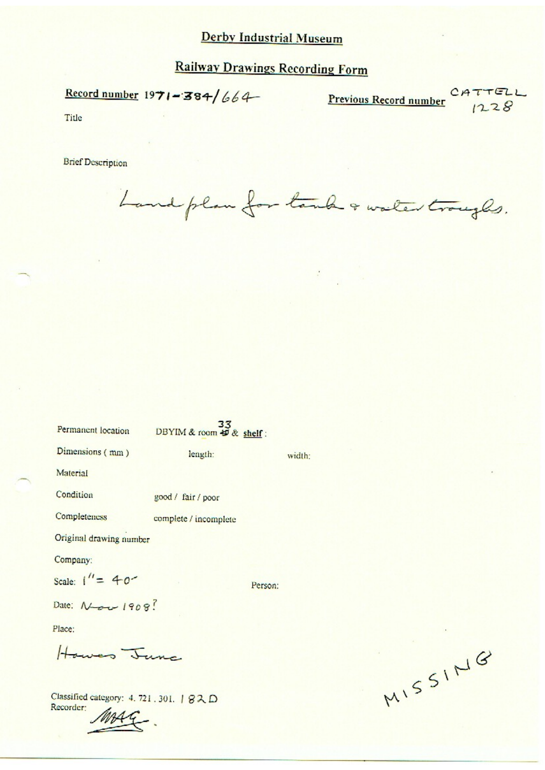### **Railway Drawings Recording Form**

Record number  $1971 - 384/664$ 

**Previous Record number**  $CATTELL$ 

Title

**Brief Description** 

Land plan for tank & water troughs.

| Permanent location      | DBYIM & room # & shelf: |         |        |
|-------------------------|-------------------------|---------|--------|
| Dimensions (mm)         | length:                 |         | width: |
| Material                |                         |         |        |
| Condition               | good / fair / poor      |         |        |
| Completeness            | complete / incomplete   |         |        |
| Original drawing number |                         |         |        |
| Company:                |                         |         |        |
| Scale: $1'' = 40^{-7}$  |                         | Person: |        |
| Date: Nov 1908?         |                         |         |        |
| Place:                  |                         |         |        |
| Howes June              |                         |         |        |
|                         |                         |         |        |

Classified category: 4.721.301. | 82D Recorder:

MISSING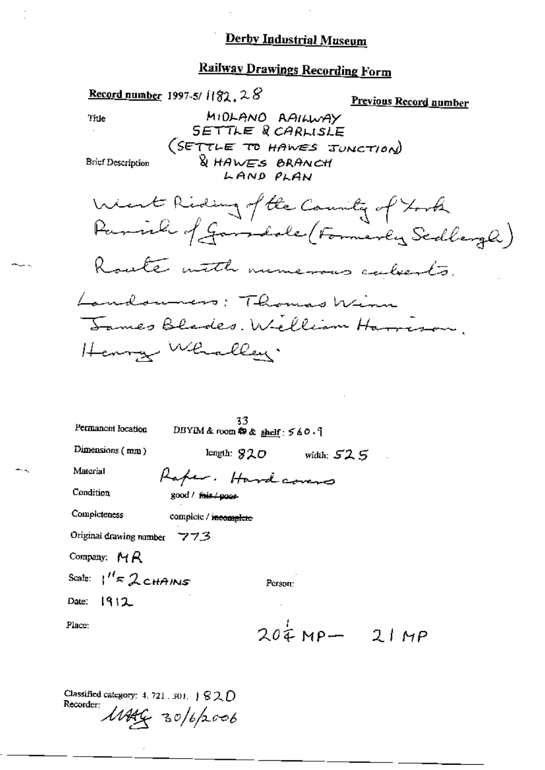# **Railway Drawings Recording Form**

|                               | Record number 1997-5/ $1132.28$                                                           | <b>Previous Record number</b>             |
|-------------------------------|-------------------------------------------------------------------------------------------|-------------------------------------------|
| Title                         | MIDLANO AAILWAY                                                                           |                                           |
| <b>Brief Description</b>      | SETTLE R CARLISLE<br>(SETTLE TO HAWES JUNCTION)<br><b>&amp; HAWES BRANCH</b><br>LAND PLAN |                                           |
|                               | West Riding of the County of York                                                         | Parish of Garrichale (Formerly Scallerge) |
|                               | Route with numerous calverts.                                                             |                                           |
|                               | Landouners: Thomas Winn<br>James Blades. Welliam Harrison.                                |                                           |
|                               | Henry Whalley.                                                                            |                                           |
|                               |                                                                                           |                                           |
| Permanent location            | 33.<br>DBYIM & room $\otimes$ & shelf: $560.$                                             |                                           |
| Dimensions (mm)               | length: $920$                                                                             | width: $52.5$                             |
| Material                      | Raper. Hardcovers                                                                         |                                           |
| Condition                     | good / fair / poor                                                                        |                                           |
| Completeness                  | complete / incomplete                                                                     |                                           |
| Original drawing number       | 773                                                                                       |                                           |
| Company: $MR$                 |                                                                                           |                                           |
| Scale: $1'' \approx 2$ CHAINS | Person:                                                                                   |                                           |

 $1912$ Date:

Place:

.<br>Saint-

щ,

 $204MP - 21MP$ 

Classified category: 4, 721, 301,  $\mid$  8 2,  $\mid$ Recorder 1144G 30/6/2006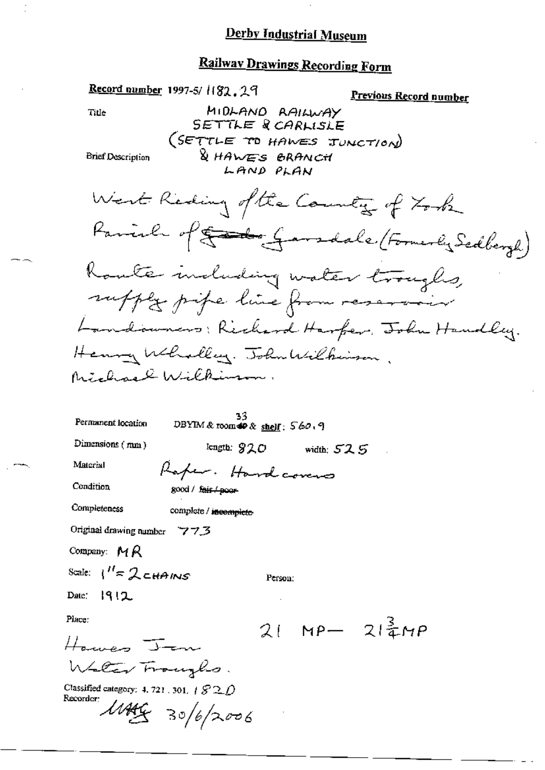### **Railway Drawings Recording Form**

| Record number 1997-5/1182.29<br><u>Previous Record number</u>                           |
|-----------------------------------------------------------------------------------------|
| MIDLAND RAILWAY<br>Ti⊔e<br>SETTLE & CARLISLE<br>(SETTLE TO HAWES JUNCTION)              |
| <b>&amp; HAWES BRANCH</b><br><b>Brief Description</b><br>LAND PLAN                      |
| West Reding of the Country of York                                                      |
| Parish of Sandale (Formerly Sedbergh)                                                   |
| Koute moluding water troughs,                                                           |
| suffly pipe line from reservoir                                                         |
| Handowners: Richard Harfer, John Handley.                                               |
| Henry Wholley. John Wilkinson.                                                          |
| Michael Wilkinson.                                                                      |
| Permanent location                                                                      |
| DBYIM & room $\otimes$ & shelf: $560.9$<br>Dimensions (mm)                              |
| length: $920$ width: $525$<br>Material                                                  |
| Raper. Hardcovers<br>Condition                                                          |
| good / <del>fair / poor</del>                                                           |
| Completeness<br>complete / incomplete                                                   |
| Original drawing number 773                                                             |
| Company: $MR$                                                                           |
| Scale: $1'' = 2$ chains<br>Person:                                                      |
| Date: $ 9 2$                                                                            |
| Place:<br>$21$ MP- $21\frac{2}{3}MP$                                                    |
| Harves Jan                                                                              |
| Water Fraugho.                                                                          |
| Classified category: 4, 721, 301, $\#$ $\mathcal{S} \mathcal{2}$ $\bigcap$<br>Recorder: |
| $14466$ 30/6/2006                                                                       |

 $-1$